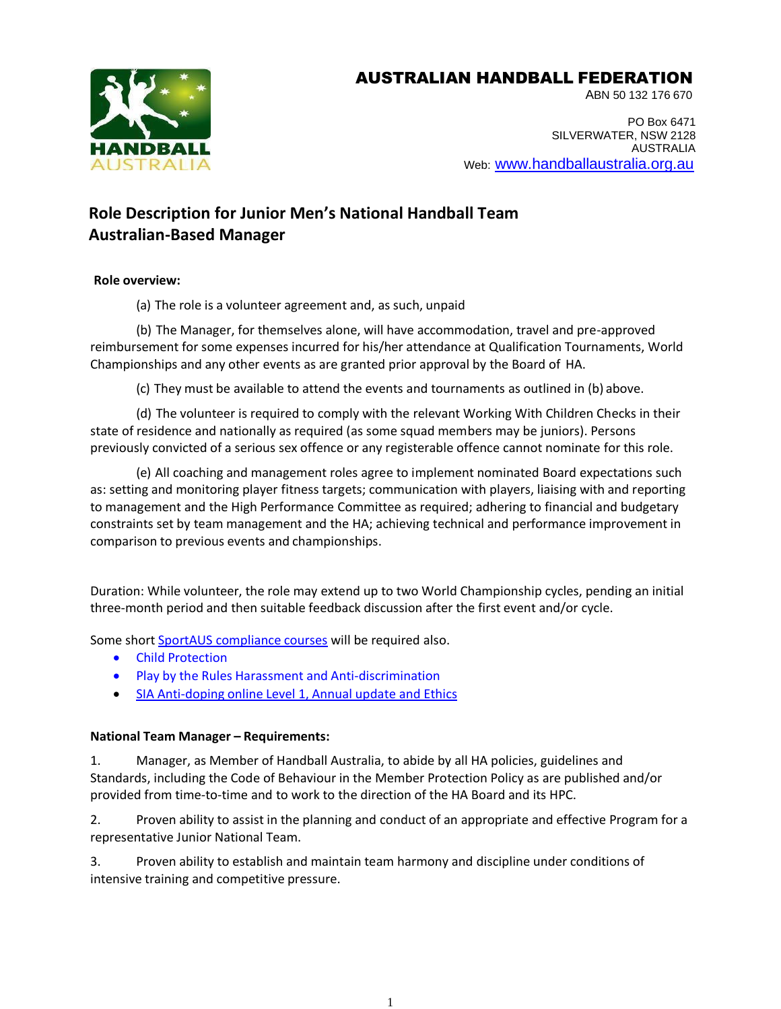## AUSTRALIAN HANDBALL FEDERATION



ABN 50 132 176 670

PO Box 6471 SILVERWATER, NSW 2128 AUSTRALIA Web: [www.handballaustralia.org.au](http://www.handballaustralia.org.au/)

# **Role Description for Junior Men's National Handball Team Australian-Based Manager**

## **Role overview:**

(a) The role is a volunteer agreement and, as such, unpaid

(b) The Manager, for themselves alone, will have accommodation, travel and pre-approved reimbursement for some expenses incurred for his/her attendance at Qualification Tournaments, World Championships and any other events as are granted prior approval by the Board of HA.

(c) They must be available to attend the events and tournaments as outlined in (b) above.

(d) The volunteer is required to comply with the relevant Working With Children Checks in their state of residence and nationally as required (as some squad members may be juniors). Persons previously convicted of a serious sex offence or any registerable offence cannot nominate for this role.

(e) All coaching and management roles agree to implement nominated Board expectations such as: setting and monitoring player fitness targets; communication with players, liaising with and reporting to management and the High Performance Committee as required; adhering to financial and budgetary constraints set by team management and the HA; achieving technical and performance improvement in comparison to previous events and championships.

Duration: While volunteer, the role may extend up to two World Championship cycles, pending an initial three-month period and then suitable feedback discussion after the first event and/or cycle.

Some short SportAUS [compliance courses](https://www.playbytherules.net.au/online-courses) will be required also.

- Child Protection
- Play by the Rules Harassment and Anti-discrimination
- SIA Anti-doping online Level 1, [Annual update](https://elearning.sportintegrity.gov.au/) and Ethics

## **National Team Manager – Requirements:**

1. Manager, as Member of Handball Australia, to abide by all HA policies, guidelines and Standards, including the Code of Behaviour in the Member Protection Policy as are published and/or provided from time-to-time and to work to the direction of the HA Board and its HPC.

2. Proven ability to assist in the planning and conduct of an appropriate and effective Program for a representative Junior National Team.

3. Proven ability to establish and maintain team harmony and discipline under conditions of intensive training and competitive pressure.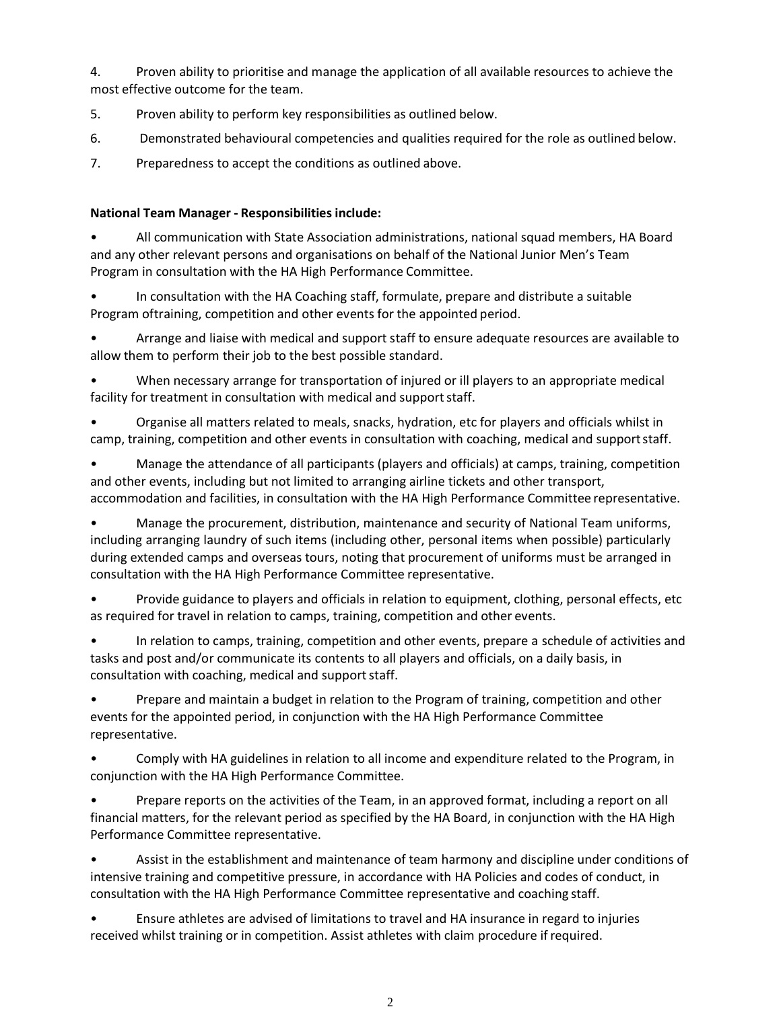4. Proven ability to prioritise and manage the application of all available resources to achieve the most effective outcome for the team.

- 5. Proven ability to perform key responsibilities as outlined below.
- 6. Demonstrated behavioural competencies and qualities required for the role as outlined below.
- 7. Preparedness to accept the conditions as outlined above.

#### **National Team Manager - Responsibilities include:**

• All communication with State Association administrations, national squad members, HA Board and any other relevant persons and organisations on behalf of the National Junior Men's Team Program in consultation with the HA High Performance Committee.

• In consultation with the HA Coaching staff, formulate, prepare and distribute a suitable Program oftraining, competition and other events for the appointed period.

• Arrange and liaise with medical and support staff to ensure adequate resources are available to allow them to perform their job to the best possible standard.

• When necessary arrange for transportation of injured or ill players to an appropriate medical facility for treatment in consultation with medical and support staff.

• Organise all matters related to meals, snacks, hydration, etc for players and officials whilst in camp, training, competition and other events in consultation with coaching, medical and supportstaff.

• Manage the attendance of all participants (players and officials) at camps, training, competition and other events, including but not limited to arranging airline tickets and other transport, accommodation and facilities, in consultation with the HA High Performance Committee representative.

• Manage the procurement, distribution, maintenance and security of National Team uniforms, including arranging laundry of such items (including other, personal items when possible) particularly during extended camps and overseas tours, noting that procurement of uniforms must be arranged in consultation with the HA High Performance Committee representative.

Provide guidance to players and officials in relation to equipment, clothing, personal effects, etc as required for travel in relation to camps, training, competition and other events.

In relation to camps, training, competition and other events, prepare a schedule of activities and tasks and post and/or communicate its contents to all players and officials, on a daily basis, in consultation with coaching, medical and support staff.

• Prepare and maintain a budget in relation to the Program of training, competition and other events for the appointed period, in conjunction with the HA High Performance Committee representative.

• Comply with HA guidelines in relation to all income and expenditure related to the Program, in conjunction with the HA High Performance Committee.

• Prepare reports on the activities of the Team, in an approved format, including a report on all financial matters, for the relevant period as specified by the HA Board, in conjunction with the HA High Performance Committee representative.

• Assist in the establishment and maintenance of team harmony and discipline under conditions of intensive training and competitive pressure, in accordance with HA Policies and codes of conduct, in consultation with the HA High Performance Committee representative and coaching staff.

• Ensure athletes are advised of limitations to travel and HA insurance in regard to injuries received whilst training or in competition. Assist athletes with claim procedure ifrequired.